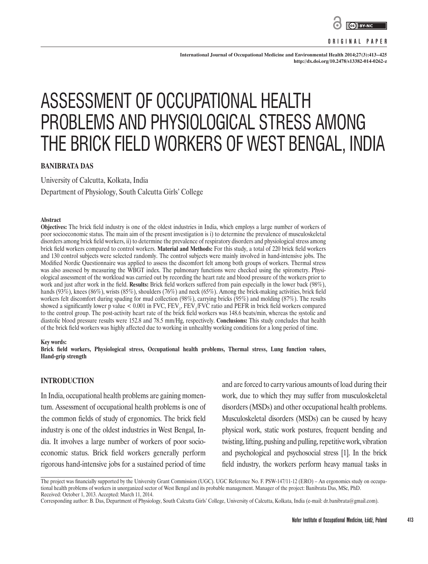

#### **ORIGINAL PAPER**

**International Journal of Occupational Medicine and Environmental Health 2014;27(3):413–425 http://dx.doi.org/10.2478/s13382-014-0262-z**

# ASSESSMENT OF OCCUPATIONAL HEALTH PROBLEMS AND PHYSIOLOGICAL STRESS AMONG THE BRICK FIELD WORKERS OF WEST BENGAL, INDIA

## **BANIBRATA DAS**

University of Calcutta, Kolkata, India Department of Physiology, South Calcutta Girls' College

#### **Abstract**

**Objectives:** The brick field industry is one of the oldest industries in India, which employs a large number of workers of poor socioeconomic status. The main aim of the present investigation is i) to determine the prevalence of musculoskeletal disorders among brick field workers, ii) to determine the prevalence of respiratory disorders and physiological stress among brick field workers compared to control workers. **Material and Methods:** For this study, a total of 220 brick field workers and 130 control subjects were selected randomly. The control subjects were mainly involved in hand-intensive jobs. The Modified Nordic Questionnaire was applied to assess the discomfort felt among both groups of workers. Thermal stress was also assessed by measuring the WBGT index. The pulmonary functions were checked using the spirometry. Physiological assessment of the workload was carried out by recording the heart rate and blood pressure of the workers prior to work and just after work in the field. **Results:** Brick field workers suffered from pain especially in the lower back (98%), hands (93%), knees (86%), wrists (85%), shoulders (76%) and neck (65%). Among the brick-making activities, brick field workers felt discomfort during spading for mud collection (98%), carrying bricks (95%) and molding (87%). The results showed a significantly lower p value  $< 0.001$  in FVC, FEV<sub>1</sub>, FEV<sub>1</sub>/FVC ratio and PEFR in brick field workers compared to the control group. The post-activity heart rate of the brick field workers was 148.6 beats/min, whereas the systolic and diastolic blood pressure results were 152.8 and 78.5 mm/Hg, respectively. **Conclusions:** This study concludes that health of the brick field workers was highly affected due to working in unhealthy working conditions for a long period of time.

#### **Key words:**

**Brick field workers, Physiological stress, Occupational health problems, Thermal stress, Lung function values, Hand-grip strength**

## **INTRODUCTION**

In India, occupational health problems are gaining momentum. Assessment of occupational health problems is one of the common fields of study of ergonomics. The brick field industry is one of the oldest industries in West Bengal, India. It involves a large number of workers of poor socioeconomic status. Brick field workers generally perform rigorous hand-intensive jobs for a sustained period of time and are forced to carry various amounts of load during their work, due to which they may suffer from musculoskeletal disorders (MSDs) and other occupational health problems. Musculoskeletal disorders (MSDs) can be caused by heavy physical work, static work postures, frequent bending and twisting, lifting, pushing and pulling, repetitive work, vibration and psychological and psychosocial stress [1]. In the brick field industry, the workers perform heavy manual tasks in

The project was financially supported by the University Grant Commission (UGC). UGC Reference No. F. PSW-147/11-12 (ERO) – An ergonomics study on occupational health problems of workers in unorganized sector of West Bengal and its probable management. Manager of the project: Banibrata Das, MSc, PhD. Received: October 1, 2013. Accepted: March 11, 2014.

Corresponding author: B. Das, Department of Physiology, South Calcutta Girls' College, University of Calcutta, Kolkata, India (e-mail: dr.banibrata@gmail.com).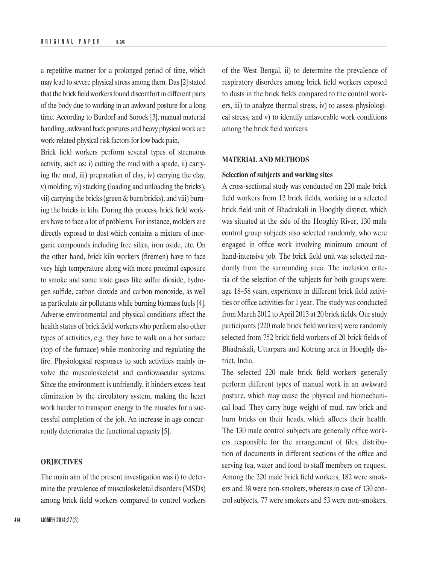a repetitive manner for a prolonged period of time, which may lead to severe physical stress among them. Das [2] stated that the brick field workers found discomfort in different parts of the body due to working in an awkward posture for a long time. According to Burdorf and Sorock [3], manual material handling, awkward back postures and heavy physical work are work-related physical risk factors for low back pain.

Brick field workers perform several types of strenuous activity, such as: i) cutting the mud with a spade, ii) carrying the mud, iii) preparation of clay, iv) carrying the clay, v) molding, vi) stacking (loading and unloading the bricks), vii) carrying the bricks (green & burn bricks), and viii) burning the bricks in kiln. During this process, brick field workers have to face a lot of problems. For instance, molders are directly exposed to dust which contains a mixture of inorganic compounds including free silica, iron oxide, etc. On the other hand, brick kiln workers (firemen) have to face very high temperature along with more proximal exposure to smoke and some toxic gases like sulfur dioxide, hydrogen sulfide, carbon dioxide and carbon monoxide, as well as particulate air pollutants while burning biomass fuels [4]. Adverse environmental and physical conditions affect the health status of brick field workers who perform also other types of activities, e.g. they have to walk on a hot surface (top of the furnace) while monitoring and regulating the fire. Physiological responses to such activities mainly involve the musculoskeletal and cardiovascular systems. Since the environment is unfriendly, it hinders excess heat elimination by the circulatory system, making the heart work harder to transport energy to the muscles for a successful completion of the job. An increase in age concurrently deteriorates the functional capacity [5].

## **OBJECTIVES**

The main aim of the present investigation was i) to determine the prevalence of musculoskeletal disorders (MSDs) among brick field workers compared to control workers of the West Bengal, ii) to determine the prevalence of respiratory disorders among brick field workers exposed to dusts in the brick fields compared to the control workers, iii) to analyze thermal stress, iv) to assess physiological stress, and v) to identify unfavorable work conditions among the brick field workers.

## **MATERIAL AND METHODS**

## **Selection of subjects and working sites**

A cross-sectional study was conducted on 220 male brick field workers from 12 brick fields, working in a selected brick field unit of Bhadrakali in Hooghly district, which was situated at the side of the Hooghly River, 130 male control group subjects also selected randomly, who were engaged in office work involving minimum amount of hand-intensive job. The brick field unit was selected randomly from the surrounding area. The inclusion criteria of the selection of the subjects for both groups were: age 18–58 years, experience in different brick field activities or office activities for 1 year. The study was conducted from March 2012 to April 2013 at 20 brick fields. Our study participants (220 male brick field workers) were randomly selected from 752 brick field workers of 20 brick fields of Bhadrakali, Uttarpara and Kotrung area in Hooghly district, India.

The selected 220 male brick field workers generally perform different types of manual work in an awkward posture, which may cause the physical and biomechanical load. They carry huge weight of mud, raw brick and burn bricks on their heads, which affects their health. The 130 male control subjects are generally office workers responsible for the arrangement of files, distribution of documents in different sections of the office and serving tea, water and food to staff members on request. Among the 220 male brick field workers, 182 were smokers and 38 were non-smokers, whereas in case of 130 control subjects, 77 were smokers and 53 were non-smokers.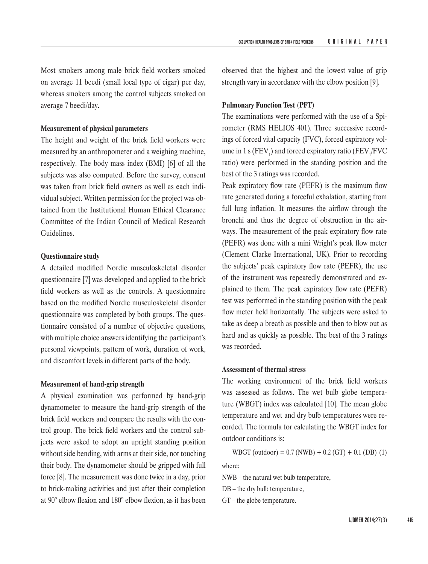Most smokers among male brick field workers smoked on average 11 beedi (small local type of cigar) per day, whereas smokers among the control subjects smoked on average 7 beedi/day.

## **Measurement of physical parameters**

The height and weight of the brick field workers were measured by an anthropometer and a weighing machine, respectively. The body mass index (BMI) [6] of all the subjects was also computed. Before the survey, consent was taken from brick field owners as well as each individual subject. Written permission for the project was obtained from the Institutional Human Ethical Clearance Committee of the Indian Council of Medical Research Guidelines.

## **Questionnaire study**

A detailed modified Nordic musculoskeletal disorder questionnaire [7] was developed and applied to the brick field workers as well as the controls. A questionnaire based on the modified Nordic musculoskeletal disorder questionnaire was completed by both groups. The questionnaire consisted of a number of objective questions, with multiple choice answers identifying the participant's personal viewpoints, pattern of work, duration of work, and discomfort levels in different parts of the body.

## **Measurement of hand-grip strength**

A physical examination was performed by hand-grip dynamometer to measure the hand-grip strength of the brick field workers and compare the results with the control group. The brick field workers and the control subjects were asked to adopt an upright standing position without side bending, with arms at their side, not touching their body. The dynamometer should be gripped with full force [8]. The measurement was done twice in a day, prior to brick-making activities and just after their completion at 90° elbow flexion and 180° elbow flexion, as it has been observed that the highest and the lowest value of grip strength vary in accordance with the elbow position [9].

## **Pulmonary Function Test (PFT)**

The examinations were performed with the use of a Spirometer (RMS HELIOS 401). Three successive recordings of forced vital capacity (FVC), forced expiratory volume in 1 s ( $FEV_1$ ) and forced expiratory ratio ( $FEV_1/FVC$ ratio) were performed in the standing position and the best of the 3 ratings was recorded.

Peak expiratory flow rate (PEFR) is the maximum flow rate generated during a forceful exhalation, starting from full lung inflation. It measures the airflow through the bronchi and thus the degree of obstruction in the airways. The measurement of the peak expiratory flow rate (PEFR) was done with a mini Wright's peak flow meter (Clement Clarke International, UK). Prior to recording the subjects' peak expiratory flow rate (PEFR), the use of the instrument was repeatedly demonstrated and explained to them. The peak expiratory flow rate (PEFR) test was performed in the standing position with the peak flow meter held horizontally. The subjects were asked to take as deep a breath as possible and then to blow out as hard and as quickly as possible. The best of the 3 ratings was recorded.

# **Assessment of thermal stress**

The working environment of the brick field workers was assessed as follows. The wet bulb globe temperature (WBGT) index was calculated [10]. The mean globe temperature and wet and dry bulb temperatures were recorded. The formula for calculating the WBGT index for outdoor conditions is:

WBGT (outdoor) =  $0.7$  (NWB) +  $0.2$  (GT) +  $0.1$  (DB) (1)

where:

NWB – the natural wet bulb temperature,

DB – the dry bulb temperature,

GT – the globe temperature.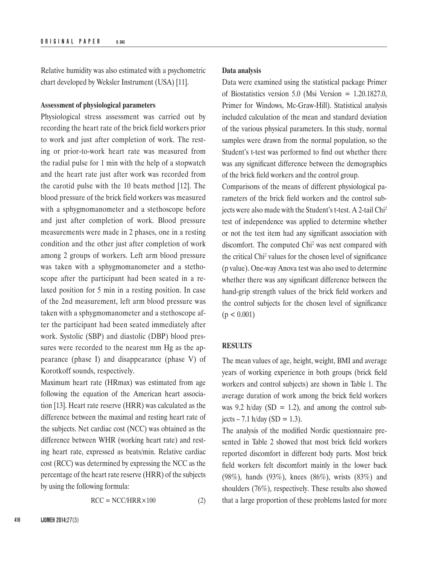Relative humidity was also estimated with a psychometric chart developed by Weksler Instrument (USA) [11].

### **Assessment of physiological parameters**

Physiological stress assessment was carried out by recording the heart rate of the brick field workers prior to work and just after completion of work. The resting or prior-to-work heart rate was measured from the radial pulse for 1 min with the help of a stopwatch and the heart rate just after work was recorded from the carotid pulse with the 10 beats method [12]. The blood pressure of the brick field workers was measured with a sphygmomanometer and a stethoscope before and just after completion of work. Blood pressure measurements were made in 2 phases, one in a resting condition and the other just after completion of work among 2 groups of workers. Left arm blood pressure was taken with a sphygmomanometer and a stethoscope after the participant had been seated in a relaxed position for 5 min in a resting position. In case of the 2nd measurement, left arm blood pressure was taken with a sphygmomanometer and a stethoscope after the participant had been seated immediately after work. Systolic (SBP) and diastolic (DBP) blood pressures were recorded to the nearest mm Hg as the appearance (phase I) and disappearance (phase V) of Korotkoff sounds, respectively.

Maximum heart rate (HRmax) was estimated from age following the equation of the American heart association [13]. Heart rate reserve (HRR) was calculated as the difference between the maximal and resting heart rate of the subjects. Net cardiac cost (NCC) was obtained as the difference between WHR (working heart rate) and resting heart rate, expressed as beats/min. Relative cardiac cost (RCC) was determined by expressing the NCC as the percentage of the heart rate reserve (HRR) of the subjects by using the following formula:

$$
RCC = NCC/HRR \times 100
$$
 (2)

### **Data analysis**

Data were examined using the statistical package Primer of Biostatistics version 5.0 (Msi Version = 1.20.1827.0, Primer for Windows, Mc-Graw-Hill). Statistical analysis included calculation of the mean and standard deviation of the various physical parameters. In this study, normal samples were drawn from the normal population, so the Student's t*-*test was performed to find out whether there was any significant difference between the demographics of the brick field workers and the control group.

Comparisons of the means of different physiological parameters of the brick field workers and the control subjects were also made with the Student's t-test. A 2-tail Chi<sup>2</sup> test of independence was applied to determine whether or not the test item had any significant association with discomfort. The computed Chi<sup>2</sup> was next compared with the critical Chi2 values for the chosen level of significance (p value). One-way Anova test was also used to determine whether there was any significant difference between the hand-grip strength values of the brick field workers and the control subjects for the chosen level of significance  $(p < 0.001)$ 

## **RESULTS**

The mean values of age, height, weight, BMI and average years of working experience in both groups (brick field workers and control subjects) are shown in Table 1. The average duration of work among the brick field workers was 9.2 h/day (SD = 1.2), and among the control sub $jects - 7.1 h/day (SD = 1.3).$ 

The analysis of the modified Nordic questionnaire presented in Table 2 showed that most brick field workers reported discomfort in different body parts. Most brick field workers felt discomfort mainly in the lower back (98%), hands (93%), knees (86%), wrists (83%) and shoulders (76%), respectively. These results also showed that a large proportion of these problems lasted for more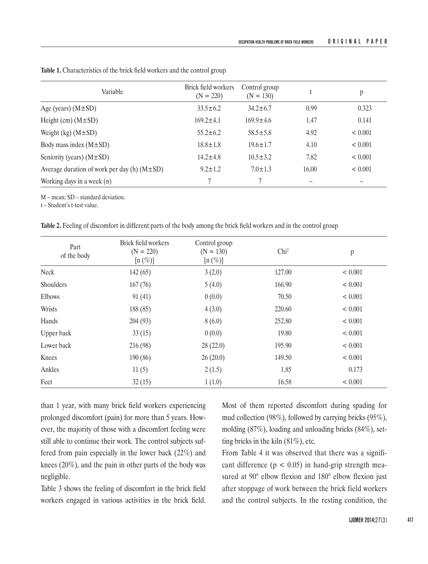| Variable                                          | Brick field workers<br>$(N = 220)$ | Control group<br>$(N = 130)$ |       | p       |
|---------------------------------------------------|------------------------------------|------------------------------|-------|---------|
| Age (years) $(M \pm SD)$                          | $33.5 \pm 6.2$                     | $34.2 \pm 6.7$               | 0.99  | 0.323   |
| Height (cm) $(M \pm SD)$                          | $169.2 \pm 4.1$                    | $169.9 \pm 4.6$              | 1.47  | 0.141   |
| Weight (kg) $(M \pm SD)$                          | $55.2 \pm 6.2$                     | $58.5 \pm 5.8$               | 4.92  | < 0.001 |
| Body mass index $(M \pm SD)$                      | $18.8 \pm 1.8$                     | $19.6 \pm 1.7$               | 4.10  | < 0.001 |
| Seniority (years) $(M \pm SD)$                    | $14.2 \pm 4.8$                     | $10.5 \pm 3.2$               | 7.82  | < 0.001 |
| Average duration of work per day (h) $(M \pm SD)$ | $9.2 \pm 1.2$                      | $7.0 \pm 1.3$                | 16.00 | < 0.001 |
| Working days in a week $(n)$                      | 7                                  | 7                            |       |         |

**Table 1.** Characteristics of the brick field workers and the control group

M – mean; SD – standard deviation.

t – Student's t-test value.

**Table 2.** Feeling of discomfort in different parts of the body among the brick field workers and in the control group

| Part<br>of the body | Brick field workers<br>$(N = 220)$<br>$[n (\%)]$ | Control group<br>$(N = 130)$<br>$[n (\%)]$ | Chi <sup>2</sup> | p       |
|---------------------|--------------------------------------------------|--------------------------------------------|------------------|---------|
| Neck                | 142(65)                                          | 3(2.0)                                     | 127.00           | < 0.001 |
| Shoulders           | 167(76)                                          | 5(4.0)                                     | 166.90           | < 0.001 |
| Elbows              | 91(41)                                           | 0(0.0)                                     | 70.50            | < 0.001 |
| Wrists              | 188 (85)                                         | 4(3.0)                                     | 220.60           | < 0.001 |
| Hands               | 204(93)                                          | 8(6.0)                                     | 252.80           | < 0.001 |
| Upper back          | 33(15)                                           | 0(0.0)                                     | 19.80            | < 0.001 |
| Lower back          | 216 (98)                                         | 28(22.0)                                   | 195.90           | < 0.001 |
| Knees               | 190(86)                                          | 26(20.0)                                   | 149.50           | < 0.001 |
| Ankles              | 11(5)                                            | 2(1.5)                                     | 1.85             | 0.173   |
| Feet                | 32(15)                                           | 1(1.0)                                     | 16.58            | < 0.001 |

than 1 year, with many brick field workers experiencing prolonged discomfort (pain) for more than 5 years. However, the majority of those with a discomfort feeling were still able to continue their work. The control subjects suffered from pain especially in the lower back (22%) and knees (20%), and the pain in other parts of the body was negligible.

Table 3 shows the feeling of discomfort in the brick field workers engaged in various activities in the brick field.

Most of them reported discomfort during spading for mud collection (98%), followed by carrying bricks (95%), molding (87%), loading and unloading bricks (84%), setting bricks in the kiln (81%), etc.

From Table 4 it was observed that there was a significant difference  $(p < 0.05)$  in hand-grip strength measured at 90° elbow flexion and 180° elbow flexion just after stoppage of work between the brick field workers and the control subjects. In the resting condition, the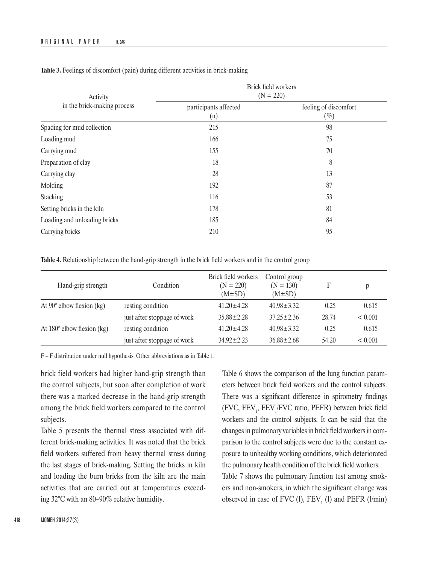| Activity                     | Brick field workers<br>$(N = 220)$ |                                 |  |  |  |
|------------------------------|------------------------------------|---------------------------------|--|--|--|
| in the brick-making process  | participants affected<br>(n)       | feeling of discomfort<br>$(\%)$ |  |  |  |
| Spading for mud collection   | 215                                | 98                              |  |  |  |
| Loading mud                  | 166                                | 75                              |  |  |  |
| Carrying mud                 | 155                                | 70                              |  |  |  |
| Preparation of clay          | 18                                 | 8                               |  |  |  |
| Carrying clay                | 28                                 | 13                              |  |  |  |
| Molding                      | 192                                | 87                              |  |  |  |
| Stacking                     | 116                                | 53                              |  |  |  |
| Setting bricks in the kiln   | 178                                | 81                              |  |  |  |
| Loading and unloading bricks | 185                                | 84                              |  |  |  |
| Carrying bricks              | 210                                | 95                              |  |  |  |

**Table 3.** Feelings of discomfort (pain) during different activities in brick-making

**Table 4.** Relationship between the hand-grip strength in the brick field workers and in the control group

| Hand-grip strength                | Condition                   | Brick field workers<br>$(N = 220)$<br>$(M \pm SD)$ | Control group<br>$(N = 130)$<br>$(M \pm SD)$ | F     | p       |
|-----------------------------------|-----------------------------|----------------------------------------------------|----------------------------------------------|-------|---------|
| At $90^\circ$ elbow flexion (kg)  | resting condition           | $41.20 \pm 4.28$                                   | $40.98 \pm 3.32$                             | 0.25  | 0.615   |
|                                   | just after stoppage of work | $35.88 + 2.28$                                     | $37.25 \pm 2.36$                             | 28.74 | < 0.001 |
| At $180^\circ$ elbow flexion (kg) | resting condition           | $41.20 + 4.28$                                     | $40.98 \pm 3.32$                             | 0.25  | 0.615   |
|                                   | just after stoppage of work | $34.92 + 2.23$                                     | $36.88 \pm 2.68$                             | 54.20 | < 0.001 |

F – F distribution under null hypothesis. Other abbreviations as in Table 1.

brick field workers had higher hand-grip strength than the control subjects, but soon after completion of work there was a marked decrease in the hand-grip strength among the brick field workers compared to the control subjects.

Table 5 presents the thermal stress associated with different brick-making activities. It was noted that the brick field workers suffered from heavy thermal stress during the last stages of brick-making. Setting the bricks in kiln and loading the burn bricks from the kiln are the main activities that are carried out at temperatures exceeding 32°C with an 80–90% relative humidity.

Table 6 shows the comparison of the lung function parameters between brick field workers and the control subjects. There was a significant difference in spirometry findings  $(FVC, FEV<sub>1</sub>, FEV<sub>1</sub>/FVC ratio, PEFR)$  between brick field workers and the control subjects. It can be said that the changes in pulmonary variables in brick field workers in comparison to the control subjects were due to the constant exposure to unhealthy working conditions, which deteriorated the pulmonary health condition of the brick field workers. Table 7 shows the pulmonary function test among smokers and non-smokers, in which the significant change was observed in case of FVC (l),  $FEV_1$  (l) and PEFR (l/min)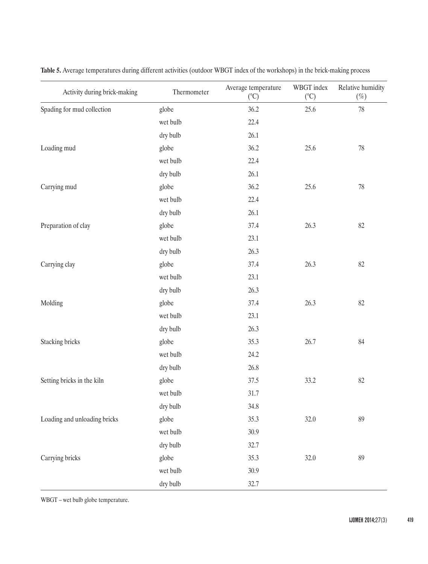| Activity during brick-making | Thermometer | Average temperature<br>$({}^{\circ}C)$ | WBGT index<br>$(^{\circ}C)$ | Relative humidity<br>$(\%)$ |
|------------------------------|-------------|----------------------------------------|-----------------------------|-----------------------------|
| Spading for mud collection   | globe       | 36.2                                   | 25.6                        | 78                          |
|                              | wet bulb    | 22.4                                   |                             |                             |
|                              | dry bulb    | 26.1                                   |                             |                             |
| Loading mud                  | globe       | 36.2                                   | 25.6                        | 78                          |
|                              | wet bulb    | 22.4                                   |                             |                             |
|                              | dry bulb    | 26.1                                   |                             |                             |
| Carrying mud                 | globe       | 36.2                                   | 25.6                        | $78\,$                      |
|                              | wet bulb    | 22.4                                   |                             |                             |
|                              | dry bulb    | 26.1                                   |                             |                             |
| Preparation of clay          | globe       | 37.4                                   | 26.3                        | 82                          |
|                              | wet bulb    | 23.1                                   |                             |                             |
|                              | dry bulb    | 26.3                                   |                             |                             |
| Carrying clay                | globe       | 37.4                                   | 26.3                        | 82                          |
|                              | wet bulb    | 23.1                                   |                             |                             |
|                              | dry bulb    | 26.3                                   |                             |                             |
| Molding                      | globe       | 37.4                                   | 26.3                        | 82                          |
|                              | wet bulb    | 23.1                                   |                             |                             |
|                              | dry bulb    | 26.3                                   |                             |                             |
| <b>Stacking bricks</b>       | globe       | 35.3                                   | 26.7                        | 84                          |
|                              | wet bulb    | 24.2                                   |                             |                             |
|                              | dry bulb    | 26.8                                   |                             |                             |
| Setting bricks in the kiln   | globe       | 37.5                                   | 33.2                        | 82                          |
|                              | wet bulb    | 31.7                                   |                             |                             |
|                              | dry bulb    | 34.8                                   |                             |                             |
| Loading and unloading bricks | globe       | 35.3                                   | 32.0                        | 89                          |
|                              | wet bulb    | 30.9                                   |                             |                             |
|                              | dry bulb    | 32.7                                   |                             |                             |
| Carrying bricks              | globe       | 35.3                                   | 32.0                        | 89                          |
|                              | wet bulb    | 30.9                                   |                             |                             |
|                              | dry bulb    | 32.7                                   |                             |                             |

**Table 5.** Average temperatures during different activities (outdoor WBGT index of the workshops) in the brick-making process

WBGT – wet bulb globe temperature.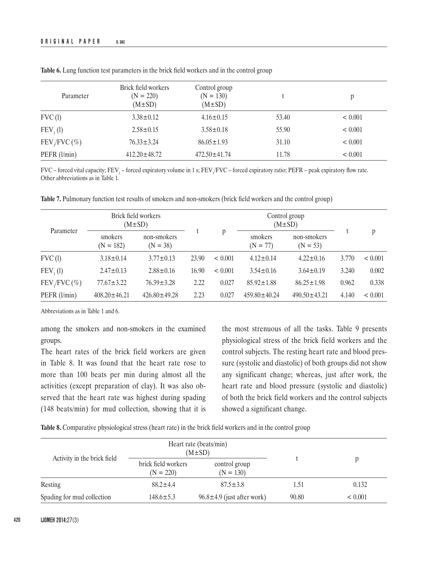| Parameter            | Brick field workers<br>$(N = 220)$<br>$(M \pm SD)$ | Control group<br>$(N = 130)$<br>$(M \pm SD)$ |       |         |
|----------------------|----------------------------------------------------|----------------------------------------------|-------|---------|
| FVC(1)               | $3.38 \pm 0.12$                                    | $4.16 \pm 0.15$                              | 53.40 | < 0.001 |
| FEV <sub>1</sub> (1) | $2.58 \pm 0.15$                                    | $3.58 \pm 0.18$                              | 55.90 | < 0.001 |
| $FEV, FVC$ (%)       | $76.33 \pm 3.24$                                   | $86.05 \pm 1.93$                             | 31.10 | < 0.001 |
| $PEFR$ ( $l/min$ )   | $412.20 \pm 48.72$                                 | $472.50 \pm 41.74$                           | 11.78 | < 0.001 |

**Table 6.** Lung function test parameters in the brick field workers and in the control group

FVC – forced vital capacity; FEV<sub>1</sub> – forced expiratory volume in 1 s; FEV<sub>1</sub>/FVC – forced expiratory ratio; PEFR – peak expiratory flow rate. Other abbreviations as in Table 1.

**Table 7.** Pulmonary function test results of smokers and non-smokers (brick field workers and the control group)

| Parameter            |                        | Brick field workers<br>$(M \pm SD)$ |       | Control group<br>$(M \pm SD)$ |                       |                           |       |         |
|----------------------|------------------------|-------------------------------------|-------|-------------------------------|-----------------------|---------------------------|-------|---------|
|                      | smokers<br>$(N = 182)$ | non-smokers<br>$(N = 38)$           |       |                               | smokers<br>$(N = 77)$ | non-smokers<br>$(N = 53)$ |       | p       |
| FVC(1)               | $3.18 \pm 0.14$        | $3.77 \pm 0.13$                     | 23.90 | < 0.001                       | $4.12 \pm 0.14$       | $4.22 \pm 0.16$           | 3.770 | < 0.001 |
| FEV <sub>1</sub> (1) | $2.47 \pm 0.13$        | $2.88 \pm 0.16$                     | 16.90 | < 0.001                       | $3.54 \pm 0.16$       | $3.64 \pm 0.19$           | 3.240 | 0.002   |
| $FEV, FVC$ (%)       | $77.67 \pm 3.22$       | $76.39 \pm 3.28$                    | 2.22  | 0.027                         | $85.92 \pm 1.88$      | $86.25 \pm 1.98$          | 0.962 | 0.338   |
| PEFR (l/min)         | $408.20 \pm 46.21$     | $426.80 \pm 49.28$                  | 2.23  | 0.027                         | $459.80 \pm 40.24$    | $490.50 \pm 43.21$        | 4.140 | < 0.001 |

Abbreviations as in Table 1 and 6.

among the smokers and non-smokers in the examined groups.

The heart rates of the brick field workers are given in Table 8. It was found that the heart rate rose to more than 100 beats per min during almost all the activities (except preparation of clay). It was also observed that the heart rate was highest during spading (148 beats/min) for mud collection, showing that it is the most strenuous of all the tasks. Table 9 presents physiological stress of the brick field workers and the control subjects. The resting heart rate and blood pressure (systolic and diastolic) of both groups did not show any significant change; whereas, just after work, the heart rate and blood pressure (systolic and diastolic) of both the brick field workers and the control subjects showed a significant change.

**Table 8.** Comparative physiological stress (heart rate) in the brick field workers and in the control group

| Activity in the brick field |                                    | Heart rate (beats/min)<br>$(M \pm SD)$ |       |         |
|-----------------------------|------------------------------------|----------------------------------------|-------|---------|
|                             | brick field workers<br>$(N = 220)$ | control group<br>$(N = 130)$           |       |         |
| Resting                     | $88.2 \pm 4.4$                     | $87.5 \pm 3.8$                         | 1.51  | 0.132   |
| Spading for mud collection  | $148.6 \pm 5.3$                    | $96.8 \pm 4.9$ (just after work)       | 90.80 | < 0.001 |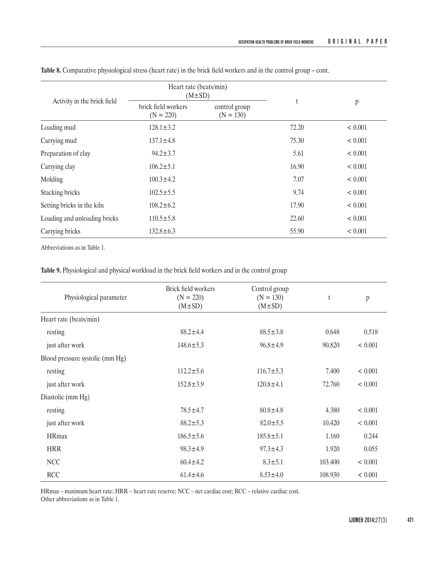| Activity in the brick field  |                                    | Heart rate (beats/min)<br>$(M \pm SD)$ |       |         |
|------------------------------|------------------------------------|----------------------------------------|-------|---------|
|                              | brick field workers<br>$(N = 220)$ | control group<br>$(N = 130)$           | t     | p       |
| Loading mud                  | $128.1 \pm 3.2$                    |                                        | 72.20 | < 0.001 |
| Carrying mud                 | $137.1 \pm 4.8$                    |                                        | 75.30 | < 0.001 |
| Preparation of clay          | $94.2 \pm 3.7$                     |                                        | 5.61  | < 0.001 |
| Carrying clay                | $106.2 \pm 5.1$                    |                                        | 16.90 | < 0.001 |
| Molding                      | $100.3 \pm 4.2$                    |                                        | 7.07  | < 0.001 |
| Stacking bricks              | $102.5 \pm 5.5$                    |                                        | 9.74  | < 0.001 |
| Setting bricks in the kiln   | $108.2 \pm 6.2$                    |                                        | 17.90 | < 0.001 |
| Loading and unloading bricks | $110.5 \pm 5.8$                    |                                        | 22.60 | < 0.001 |
| Carrying bricks              | $132.8 \pm 6.3$                    |                                        | 55.90 | < 0.001 |

**Table 8.** Comparative physiological stress (heart rate) in the brick field workers and in the control group – cont.

Abbreviations as in Table 1.

# **Table 9.** Physiological and physical workload in the brick field workers and in the control group

| Physiological parameter         | Brick field workers<br>$(N = 220)$ | Control group<br>$(N = 130)$ | t       | p       |
|---------------------------------|------------------------------------|------------------------------|---------|---------|
|                                 | $(M \pm SD)$                       | $(M \pm SD)$                 |         |         |
| Heart rate (beats/min)          |                                    |                              |         |         |
| resting                         | $88.2 \pm 4.4$                     | $88.5 \pm 3.8$               | 0.648   | 0.518   |
| just after work                 | $148.6 \pm 5.3$                    | $96.8 \pm 4.9$               | 90.820  | < 0.001 |
| Blood pressure systolic (mm Hg) |                                    |                              |         |         |
| resting                         | $112.2 \pm 5.6$                    | $116.7 \pm 5.3$              | 7.400   | < 0.001 |
| just after work                 | $152.8 \pm 3.9$                    | $120.8 \pm 4.1$              | 72.760  | < 0.001 |
| Diastolic (mm Hg)               |                                    |                              |         |         |
| resting                         | $78.5 \pm 4.7$                     | $80.8 \pm 4.8$               | 4.380   | < 0.001 |
| just after work                 | $88.2 \pm 5.3$                     | $82.0 \pm 5.5$               | 10.420  | < 0.001 |
| <b>HRmax</b>                    | $186.5 \pm 5.6$                    | $185.8 \pm 5.1$              | 1.160   | 0.244   |
| <b>HRR</b>                      | $98.3 \pm 4.9$                     | $97.3 \pm 4.3$               | 1.920   | 0.055   |
| <b>NCC</b>                      | $60.4 \pm 4.2$                     | $8.3 \pm 5.1$                | 103.400 | < 0.001 |
| <b>RCC</b>                      | $61.4 \pm 4.6$                     | $8.53 \pm 4.0$               | 108.930 | < 0.001 |

HRmax – maximum heart rate; HRR – heart rate reserve; NCC – net cardiac cost; RCC – relative cardiac cost. Other abbreviations as in Table 1.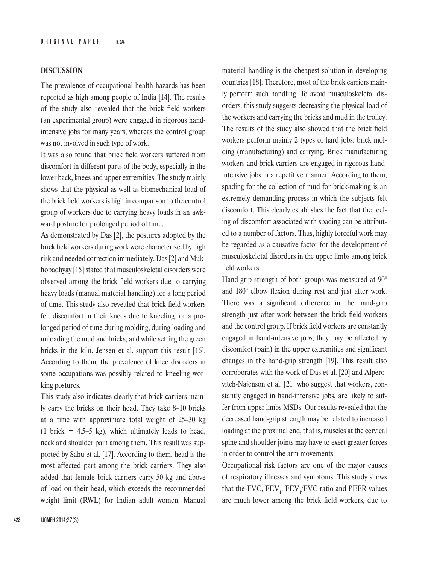## **DISCUSSION**

The prevalence of occupational health hazards has been reported as high among people of India [14]. The results of the study also revealed that the brick field workers (an experimental group) were engaged in rigorous handintensive jobs for many years, whereas the control group was not involved in such type of work.

It was also found that brick field workers suffered from discomfort in different parts of the body, especially in the lower back, knees and upper extremities. The study mainly shows that the physical as well as biomechanical load of the brick field workers is high in comparison to the control group of workers due to carrying heavy loads in an awkward posture for prolonged period of time.

As demonstrated by Das [2], the postures adopted by the brick field workers during work were characterized by high risk and needed correction immediately. Das [2] and Mukhopadhyay [15] stated that musculoskeletal disorders were observed among the brick field workers due to carrying heavy loads (manual material handling) for a long period of time. This study also revealed that brick field workers felt discomfort in their knees due to kneeling for a prolonged period of time during molding, during loading and unloading the mud and bricks, and while setting the green bricks in the kiln. Jensen et al. support this result [16]. According to them, the prevalence of knee disorders in some occupations was possibly related to kneeling working postures.

This study also indicates clearly that brick carriers mainly carry the bricks on their head. They take 8–10 bricks at a time with approximate total weight of 25–30 kg  $(1 \text{ brick} = 4.5-5 \text{ kg})$ , which ultimately leads to head, neck and shoulder pain among them. This result was supported by Sahu et al. [17]. According to them, head is the most affected part among the brick carriers. They also added that female brick carriers carry 50 kg and above of load on their head, which exceeds the recommended weight limit (RWL) for Indian adult women. Manual material handling is the cheapest solution in developing countries [18]. Therefore, most of the brick carriers mainly perform such handling. To avoid musculoskeletal disorders, this study suggests decreasing the physical load of the workers and carrying the bricks and mud in the trolley. The results of the study also showed that the brick field workers perform mainly 2 types of hard jobs: brick molding (manufacturing) and carrying. Brick manufacturing workers and brick carriers are engaged in rigorous handintensive jobs in a repetitive manner. According to them, spading for the collection of mud for brick-making is an extremely demanding process in which the subjects felt discomfort. This clearly establishes the fact that the feeling of discomfort associated with spading can be attributed to a number of factors. Thus, highly forceful work may be regarded as a causative factor for the development of musculoskeletal disorders in the upper limbs among brick field workers.

Hand-grip strength of both groups was measured at 90° and 180° elbow flexion during rest and just after work. There was a significant difference in the hand-grip strength just after work between the brick field workers and the control group. If brick field workers are constantly engaged in hand-intensive jobs, they may be affected by discomfort (pain) in the upper extremities and significant changes in the hand-grip strength [19]. This result also corroborates with the work of Das et al. [20] and Alperovitch-Najenson et al. [21] who suggest that workers, constantly engaged in hand-intensive jobs, are likely to suffer from upper limbs MSDs. Our results revealed that the decreased hand-grip strength may be related to increased loading at the proximal end, that is, muscles at the cervical spine and shoulder joints may have to exert greater forces in order to control the arm movements.

Occupational risk factors are one of the major causes of respiratory illnesses and symptoms. This study shows that the FVC,  $FEV_{1}$ ,  $FEV_{1}$ /FVC ratio and PEFR values are much lower among the brick field workers, due to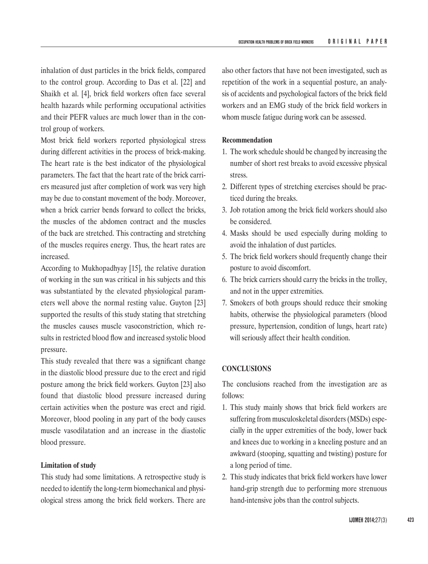inhalation of dust particles in the brick fields, compared to the control group. According to Das et al. [22] and Shaikh et al. [4], brick field workers often face several health hazards while performing occupational activities and their PEFR values are much lower than in the control group of workers.

Most brick field workers reported physiological stress during different activities in the process of brick-making. The heart rate is the best indicator of the physiological parameters. The fact that the heart rate of the brick carriers measured just after completion of work was very high may be due to constant movement of the body. Moreover, when a brick carrier bends forward to collect the bricks, the muscles of the abdomen contract and the muscles of the back are stretched. This contracting and stretching of the muscles requires energy. Thus, the heart rates are increased.

According to Mukhopadhyay [15], the relative duration of working in the sun was critical in his subjects and this was substantiated by the elevated physiological parameters well above the normal resting value. Guyton [23] supported the results of this study stating that stretching the muscles causes muscle vasoconstriction, which results in restricted blood flow and increased systolic blood pressure.

This study revealed that there was a significant change in the diastolic blood pressure due to the erect and rigid posture among the brick field workers. Guyton [23] also found that diastolic blood pressure increased during certain activities when the posture was erect and rigid. Moreover, blood pooling in any part of the body causes muscle vasodilatation and an increase in the diastolic blood pressure.

## **Limitation of study**

This study had some limitations. A retrospective study is needed to identify the long-term biomechanical and physiological stress among the brick field workers. There are

also other factors that have not been investigated, such as repetition of the work in a sequential posture, an analysis of accidents and psychological factors of the brick field workers and an EMG study of the brick field workers in whom muscle fatigue during work can be assessed.

# **Recommendation**

- 1. The work schedule should be changed by increasing the number of short rest breaks to avoid excessive physical stress.
- 2. Different types of stretching exercises should be practiced during the breaks.
- 3. Job rotation among the brick field workers should also be considered.
- 4. Masks should be used especially during molding to avoid the inhalation of dust particles.
- 5. The brick field workers should frequently change their posture to avoid discomfort.
- 6. The brick carriers should carry the bricks in the trolley, and not in the upper extremities.
- 7. Smokers of both groups should reduce their smoking habits, otherwise the physiological parameters (blood pressure, hypertension, condition of lungs, heart rate) will seriously affect their health condition.

## **CONCLUSIONS**

The conclusions reached from the investigation are as follows:

- 1. This study mainly shows that brick field workers are suffering from musculoskeletal disorders (MSDs) especially in the upper extremities of the body, lower back and knees due to working in a kneeling posture and an awkward (stooping, squatting and twisting) posture for a long period of time.
- 2. This study indicates that brick field workers have lower hand-grip strength due to performing more strenuous hand-intensive jobs than the control subjects.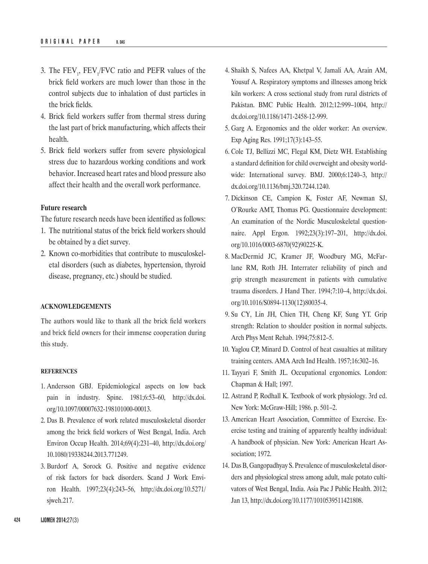- 3. The  $FEV_1$ ,  $FEV_1/FVC$  ratio and PEFR values of the brick field workers are much lower than those in the control subjects due to inhalation of dust particles in the brick fields.
- 4. Brick field workers suffer from thermal stress during the last part of brick manufacturing, which affects their health.
- 5. Brick field workers suffer from severe physiological stress due to hazardous working conditions and work behavior. Increased heart rates and blood pressure also affect their health and the overall work performance.

## **Future research**

The future research needs have been identified as follows:

- 1. The nutritional status of the brick field workers should be obtained by a diet survey.
- 2. Known co-morbidities that contribute to musculoskeletal disorders (such as diabetes, hypertension, thyroid disease, pregnancy, etc.) should be studied.

### **ACKNOWLEDGEMENTS**

The authors would like to thank all the brick field workers and brick field owners for their immense cooperation during this study.

#### **REFERENCES**

- 1. Andersson GBJ. Epidemiological aspects on low back pain in industry. Spine. 1981;6:53–60, [http://dx.doi.](http://dx.doi.org/10.1097/00007632-198101000-00013) [org/10.1097/00007632-198101000-00013](http://dx.doi.org/10.1097/00007632-198101000-00013).
- 2. Das B. Prevalence of work related musculoskeletal disorder among the brick field workers of West Bengal, India. Arch Environ Occup Health. 2014;69(4):231–40, [http://dx.doi.org/](http://dx.doi.org/10.1080/19338244.2013.771249) [10.1080/19338244.2013.771249](http://dx.doi.org/10.1080/19338244.2013.771249).
- 3. Burdorf A, Sorock G. Positive and negative evidence of risk factors for back disorders. Scand J Work Environ Health. 1997;23(4):243–56, [http://dx.doi.org/10.5271/](http://dx.doi.org/10.5271/sjweh.217) [sjweh.217](http://dx.doi.org/10.5271/sjweh.217).
- 4. Shaikh S, Nafees AA, Khetpal V, Jamali AA, Arain AM, Yousuf A. Respiratory symptoms and illnesses among brick kiln workers: A cross sectional study from rural districts of Pakistan. BMC Public Health. 2012;12:999–1004, [http://](http://dx.doi.org/10.1186/1471-2458-12-999) [dx.doi.org/10.1186/1471-2458-12-999](http://dx.doi.org/10.1186/1471-2458-12-999).
- 5. Garg A. Ergonomics and the older worker: An overview. Exp Aging Res. 1991;17(3):143–55.
- 6. Cole TJ, Bellizzi MC, Flegal KM, Dietz WH. Establishing a standard definition for child overweight and obesity worldwide: International survey. BMJ. 2000;6:1240–3, [http://](http://dx.doi.org/10.1136/bmj.320.7244.1240) [dx.doi.org/10.1136/bmj.320.7244.1240](http://dx.doi.org/10.1136/bmj.320.7244.1240).
- 7. Dickinson CE, Campion K, Foster AF, Newman SJ, O'Rourke AMT, Thomas PG. Questionnaire development: An examination of the Nordic Musculoskeletal questionnaire. Appl Ergon. 1992;23(3):197–201, [http://dx.doi.](http://dx.doi.org/10.1016/0003-6870(92)90225-K) [org/10.1016/0003-6870\(92\)90225-K](http://dx.doi.org/10.1016/0003-6870(92)90225-K).
- 8. MacDermid JC, Kramer JF, Woodbury MG, McFarlane RM, Roth JH. Interrater reliability of pinch and grip strength measurement in patients with cumulative trauma disorders. J Hand Ther. 1994;7:10–4, [http://dx.doi.](http://dx.doi.org/10.1016/S0894-1130(12)80035-4) [org/10.1016/S0894-1130\(12\)80035-4](http://dx.doi.org/10.1016/S0894-1130(12)80035-4).
- 9. Su CY, Lin JH, Chien TH, Cheng KF, Sung YT. Grip strength: Relation to shoulder position in normal subjects. Arch Phys Ment Rehab. 1994;75:812–5.
- 10. Yaglou CP, Minard D. Control of heat casualties at military training centers. AMA Arch Ind Health. 1957;16:302–16.
- 11. Tayyari F, Smith JL. Occupational ergonomics. London: Chapman & Hall; 1997.
- 12. Astrand P, Rodhall K. Textbook of work physiology. 3rd ed. New York: McGraw-Hill; 1986. p. 501–2.
- 13. American Heart Association, Committee of Exercise. Exercise testing and training of apparently healthy individual: A handbook of physician. New York: American Heart Association: 1972.
- 14. Das B, Gangopadhyay S. Prevalence of musculoskeletal disorders and physiological stress among adult, male potato cultivators of West Bengal, India. Asia Pac J Public Health. 2012; Jan 13, http://dx.doi.org/10.1177/1010539511421808.